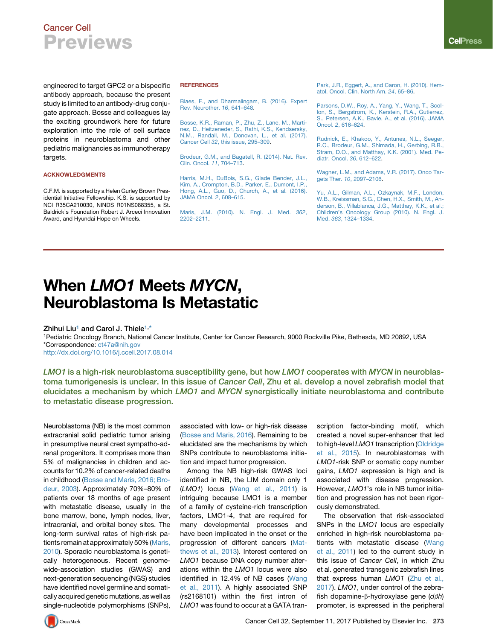## Cancer Cell Previews

engineered to target GPC2 or a bispecific antibody approach, because the present study is limited to an antibody-drug conjugate approach. Bosse and colleagues lay the exciting groundwork here for future exploration into the role of cell surface proteins in neuroblastoma and other pediatric malignancies as immunotherapy targets.

### ACKNOWLEDGMENTS

C.F.M. is supported by a Helen Gurley Brown Presidential Initiative Fellowship. K.S. is supported by NCI R35CA210030, NINDS R01NS088355, a St. Baldrick's Foundation Robert J. Arceci Innovation Award, and Hyundai Hope on Wheels.

### **REFERENCES**

[Blaes, F., and Dharmalingam, B. \(2016\). Expert](http://refhub.elsevier.com/S1535-6108(17)30356-2/sref1) [Rev. Neurother.](http://refhub.elsevier.com/S1535-6108(17)30356-2/sref1) *16*, 641–648.

[Bosse, K.R., Raman, P., Zhu, Z., Lane, M., Marti](http://refhub.elsevier.com/S1535-6108(17)30356-2/sref2)[nez, D., Heitzeneder, S., Rathi, K.S., Kendsersky,](http://refhub.elsevier.com/S1535-6108(17)30356-2/sref2) [N.M., Randall, M., Donovan, L., et al. \(2017\).](http://refhub.elsevier.com/S1535-6108(17)30356-2/sref2) Cancer Cell *32*[, this issue, 295–309](http://refhub.elsevier.com/S1535-6108(17)30356-2/sref2).

[Brodeur, G.M., and Bagatell, R. \(2014\). Nat. Rev.](http://refhub.elsevier.com/S1535-6108(17)30356-2/sref3) [Clin. Oncol.](http://refhub.elsevier.com/S1535-6108(17)30356-2/sref3) *11*, 704–713.

Harris, M.H., DuBois, S.G., Glade Bender, J.L. [Kim, A., Crompton, B.D., Parker, E., Dumont, I.P.,](http://refhub.elsevier.com/S1535-6108(17)30356-2/sref4) [Hong, A.L., Guo, D., Church, A., et al. \(2016\).](http://refhub.elsevier.com/S1535-6108(17)30356-2/sref4) [JAMA Oncol.](http://refhub.elsevier.com/S1535-6108(17)30356-2/sref4) *2*, 608–615.

[Maris, J.M. \(2010\). N. Engl. J. Med.](http://refhub.elsevier.com/S1535-6108(17)30356-2/sref5) *362*, [2202–2211.](http://refhub.elsevier.com/S1535-6108(17)30356-2/sref5)

[Park, J.R., Eggert, A., and Caron, H. \(2010\). Hem](http://refhub.elsevier.com/S1535-6108(17)30356-2/sref6)[atol. Oncol. Clin. North Am.](http://refhub.elsevier.com/S1535-6108(17)30356-2/sref6) *24*, 65–86.

[Parsons, D.W., Roy, A., Yang, Y., Wang, T., Scol](http://refhub.elsevier.com/S1535-6108(17)30356-2/sref7)[lon, S., Bergstrom, K., Kerstein, R.A., Gutierrez,](http://refhub.elsevier.com/S1535-6108(17)30356-2/sref7) [S., Petersen, A.K., Bavle, A., et al. \(2016\). JAMA](http://refhub.elsevier.com/S1535-6108(17)30356-2/sref7) Oncol. *2*[, 616–624.](http://refhub.elsevier.com/S1535-6108(17)30356-2/sref7)

[Rudnick, E., Khakoo, Y., Antunes, N.L., Seeger,](http://refhub.elsevier.com/S1535-6108(17)30356-2/sref8) [R.C., Brodeur, G.M., Shimada, H., Gerbing, R.B.,](http://refhub.elsevier.com/S1535-6108(17)30356-2/sref8) [Stram, D.O., and Matthay, K.K. \(2001\). Med. Pe](http://refhub.elsevier.com/S1535-6108(17)30356-2/sref8)[diatr. Oncol.](http://refhub.elsevier.com/S1535-6108(17)30356-2/sref8) *36*, 612–622.

[Wagner, L.M., and Adams, V.R. \(2017\). Onco Tar](http://refhub.elsevier.com/S1535-6108(17)30356-2/sref9)gets Ther. *10*[, 2097–2106](http://refhub.elsevier.com/S1535-6108(17)30356-2/sref9).

[Yu, A.L., Gilman, A.L., Ozkaynak, M.F., London,](http://refhub.elsevier.com/S1535-6108(17)30356-2/sref10) [W.B., Kreissman, S.G., Chen, H.X., Smith, M., An](http://refhub.elsevier.com/S1535-6108(17)30356-2/sref10)[derson, B., Villablanca, J.G., Matthay, K.K., et al.;](http://refhub.elsevier.com/S1535-6108(17)30356-2/sref10) [Children's Oncology Group \(2010\). N. Engl. J.](http://refhub.elsevier.com/S1535-6108(17)30356-2/sref10) Med. *363*[, 1324–1334.](http://refhub.elsevier.com/S1535-6108(17)30356-2/sref10)

# When LMO1 Meets MYCN, Neuroblastoma Is Metastatic

Zhihui Liu<sup>1</sup> and Carol J. Thiele<sup>1,\*</sup>

1Pediatric Oncology Branch, National Cancer Institute, Center for Cancer Research, 9000 Rockville Pike, Bethesda, MD 20892, USA \*Correspondence: [ct47a@nih.gov](mailto:ct47a@nih.gov)

<http://dx.doi.org/10.1016/j.ccell.2017.08.014>

LMO1 is a high-risk neuroblastoma susceptibility gene, but how LMO1 cooperates with MYCN in neuroblastoma tumorigenesis is unclear. In this issue of Cancer Cell, Zhu et al. develop a novel zebrafish model that elucidates a mechanism by which LMO1 and MYCN synergistically initiate neuroblastoma and contribute to metastatic disease progression.

Neuroblastoma (NB) is the most common extracranial solid pediatric tumor arising in presumptive neural crest sympatho-adrenal progenitors. It comprises more than 5% of malignancies in children and accounts for 10.2% of cancer-related deaths in childhood ([Bosse and Maris, 2016; Bro](#page-2-0)[deur, 2003\)](#page-2-0). Approximately 70%–80% of patients over 18 months of age present with metastatic disease, usually in the bone marrow, bone, lymph nodes, liver, intracranial, and orbital boney sites. The long-term survival rates of high-risk patients remain at approximately 50% ([Maris,](#page-2-0) [2010\)](#page-2-0). Sporadic neuroblastoma is genetically heterogeneous. Recent genomewide-association studies (GWAS) and next-generation sequencing (NGS) studies have identified novel germline and somatically acquired genetic mutations, as well as single-nucleotide polymorphisms (SNPs),

associated with low- or high-risk disease ([Bosse and Maris, 2016](#page-2-0)). Remaining to be elucidated are the mechanisms by which SNPs contribute to neuroblastoma initiation and impact tumor progression.

Among the NB high-risk GWAS loci identified in NB, the LIM domain only 1 (*LMO1*) locus [\(Wang et al., 2011](#page-2-0)) is intriguing because LMO1 is a member of a family of cysteine-rich transcription factors, LMO1-4, that are required for many developmental processes and have been implicated in the onset or the progression of different cancers ([Mat](#page-2-0)[thews et al., 2013](#page-2-0)). Interest centered on *LMO1* because DNA copy number alterations within the *LMO1* locus were also identified in 12.4% of NB cases ([Wang](#page-2-0) [et al., 2011\)](#page-2-0). A highly associated SNP (rs2168101) within the first intron of *LMO1* was found to occur at a GATA transcription factor-binding motif, which created a novel super-enhancer that led to high-level *LMO1* transcription ([Oldridge](#page-2-0) [et al., 2015](#page-2-0)). In neuroblastomas with *LMO1*-risk SNP or somatic copy number gains, *LMO1* expression is high and is associated with disease progression. However, *LMO1*'s role in NB tumor initiation and progression has not been rigorously demonstrated.

The observation that risk-associated SNPs in the *LMO1* locus are especially enriched in high-risk neuroblastoma pa-tients with metastatic disease [\(Wang](#page-2-0) [et al., 2011\)](#page-2-0) led to the current study in this issue of *Cancer Cell*, in which Zhu et al. generated transgenic zebrafish lines that express human *LMO1* [\(Zhu et al.,](#page-2-0) [2017\)](#page-2-0). *LMO1*, under control of the zebrafish dopamine-β-hydroxylase gene (*dβh*) promoter, is expressed in the peripheral

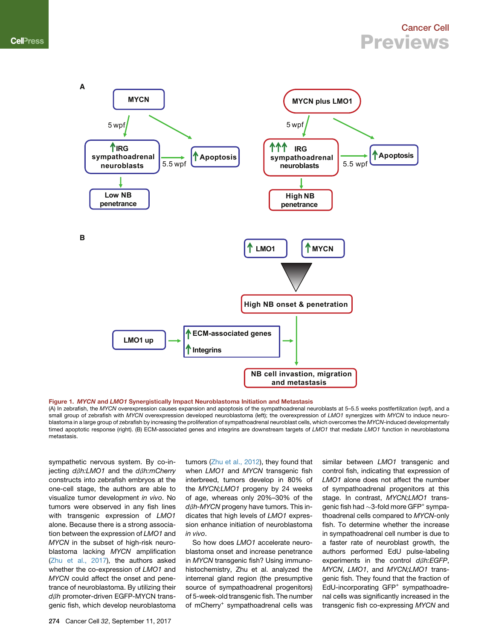### Cancer Cell Previews

<span id="page-1-0"></span>

Figure 1. MYCN and LMO1 Synergistically Impact Neuroblastoma Initiation and Metastasis

(A) In zebrafish, the *MYCN* overexpression causes expansion and apoptosis of the sympathoadrenal neuroblasts at 5–5.5 weeks postfertilization (wpf), and a small group of zebrafish with *MYCN* overexpression developed neuroblastoma (left); the overexpression of *LMO1* synergizes with *MYCN* to induce neuroblastoma in a large group of zebrafish by increasing the proliferation of sympathoadrenal neuroblast cells, which overcomes the *MYCN*-induced developmentally timed apoptotic response (right). (B) ECM-associated genes and integrins are downstream targets of *LMO1* that mediate *LMO1* function in neuroblastoma metastasis.

sympathetic nervous system. By co-injecting *d*b*h:LMO1* and the *d*b*h:mCherry* constructs into zebrafish embryos at the one-cell stage, the authors are able to visualize tumor development *in vivo*. No tumors were observed in any fish lines with transgenic expression of *LMO1* alone. Because there is a strong association between the expression of *LMO1* and *MYCN* in the subset of high-risk neuroblastoma lacking *MYCN* amplification ([Zhu et al., 2017\)](#page-2-0), the authors asked whether the co-expression of *LMO1* and *MYCN* could affect the onset and penetrance of neuroblastoma. By utilizing their *dβh* promoter-driven EGFP-MYCN transgenic fish, which develop neuroblastoma

tumors [\(Zhu et al., 2012\)](#page-2-0), they found that when *LMO1* and *MYCN* transgenic fish interbreed, tumors develop in 80% of the *MYCN;LMO1* progeny by 24 weeks of age, whereas only 20%–30% of the *d*b*h-MYCN* progeny have tumors. This indicates that high levels of *LMO1* expression enhance initiation of neuroblastoma *in vivo*.

So how does *LMO1* accelerate neuroblastoma onset and increase penetrance in *MYCN* transgenic fish? Using immunohistochemistry, Zhu et al. analyzed the interrenal gland region (the presumptive source of sympathoadrenal progenitors) of 5-week-old transgenic fish. The number of mCherry*<sup>+</sup>* sympathoadrenal cells was

similar between *LMO1* transgenic and control fish, indicating that expression of *LMO1* alone does not affect the number of sympathoadrenal progenitors at this stage. In contrast, *MYCN;LMO1* transgenic fish had  $\sim$ 3-fold more GFP<sup>+</sup> sympathoadrenal cells compared to *MYCN-*only fish. To determine whether the increase in sympathoadrenal cell number is due to a faster rate of neuroblast growth, the authors performed EdU pulse-labeling experiments in the control  $d\beta h$ : *EGFP*, *MYCN*, *LMO1*, and *MYCN;LMO1* transgenic fish. They found that the fraction of EdU-incorporating GFP<sup>+</sup> sympathoadrenal cells was significantly increased in the transgenic fish co-expressing *MYCN* and